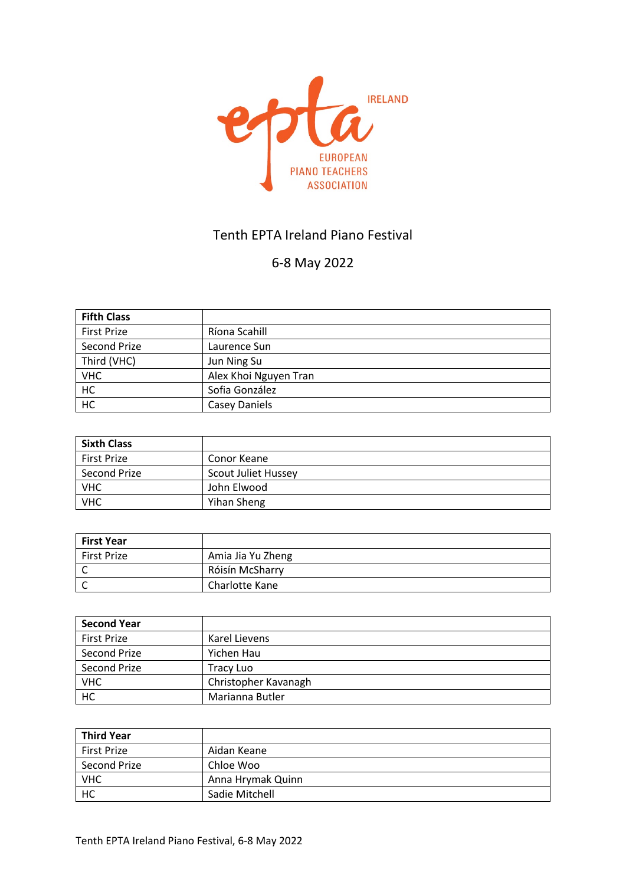

## Tenth EPTA Ireland Piano Festival

# 6-8 May 2022

| <b>Fifth Class</b> |                       |
|--------------------|-----------------------|
| <b>First Prize</b> | Ríona Scahill         |
| Second Prize       | Laurence Sun          |
| Third (VHC)        | Jun Ning Su           |
| <b>VHC</b>         | Alex Khoi Nguyen Tran |
| HC                 | Sofia González        |
| HC                 | <b>Casey Daniels</b>  |

| <b>Sixth Class</b> |                            |
|--------------------|----------------------------|
| <b>First Prize</b> | Conor Keane                |
| Second Prize       | <b>Scout Juliet Hussey</b> |
| <b>VHC</b>         | John Elwood                |
| <b>VHC</b>         | Yihan Sheng                |

| <b>First Year</b> |                   |
|-------------------|-------------------|
| First Prize       | Amia Jia Yu Zheng |
|                   | Róisín McSharry   |
|                   | Charlotte Kane    |

| <b>Second Year</b> |                      |
|--------------------|----------------------|
| <b>First Prize</b> | Karel Lievens        |
| Second Prize       | Yichen Hau           |
| Second Prize       | Tracy Luo            |
| <b>VHC</b>         | Christopher Kavanagh |
| HC                 | Marianna Butler      |

| <b>Third Year</b>  |                   |
|--------------------|-------------------|
| <b>First Prize</b> | Aidan Keane       |
| Second Prize       | Chloe Woo         |
| <b>VHC</b>         | Anna Hrymak Quinn |
| HC                 | Sadie Mitchell    |